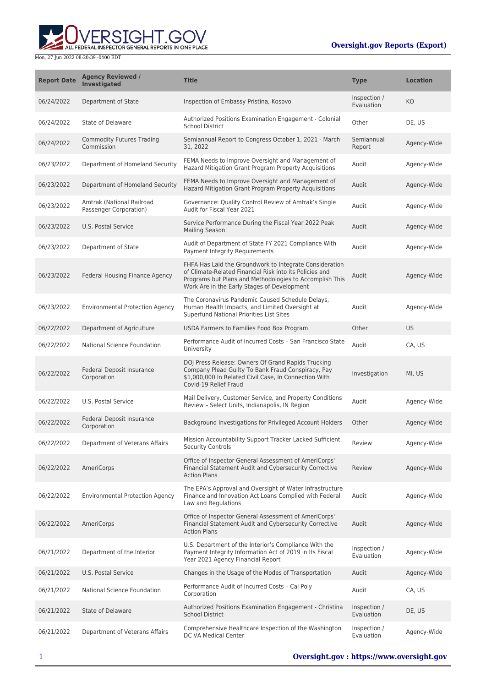ERSIGHT.GOV ALL FEDERAL INSPECTOR GENERAL REPORTS IN ONE PLACE

| <b>Report Date</b> | <b>Agency Reviewed /</b><br><b>Investigated</b>     | <b>Title</b>                                                                                                                                                                                                                 | <b>Type</b>                | <b>Location</b> |
|--------------------|-----------------------------------------------------|------------------------------------------------------------------------------------------------------------------------------------------------------------------------------------------------------------------------------|----------------------------|-----------------|
| 06/24/2022         | Department of State                                 | Inspection of Embassy Pristina, Kosovo                                                                                                                                                                                       | Inspection /<br>Evaluation | KO              |
| 06/24/2022         | State of Delaware                                   | Authorized Positions Examination Engagement - Colonial<br><b>School District</b>                                                                                                                                             | Other                      | DE, US          |
| 06/24/2022         | <b>Commodity Futures Trading</b><br>Commission      | Semiannual Report to Congress October 1, 2021 - March<br>31, 2022                                                                                                                                                            | Semiannual<br>Report       | Agency-Wide     |
| 06/23/2022         | Department of Homeland Security                     | FEMA Needs to Improve Oversight and Management of<br>Hazard Mitigation Grant Program Property Acquisitions                                                                                                                   | Audit                      | Agency-Wide     |
| 06/23/2022         | Department of Homeland Security                     | FEMA Needs to Improve Oversight and Management of<br>Hazard Mitigation Grant Program Property Acquisitions                                                                                                                   | Audit                      | Agency-Wide     |
| 06/23/2022         | Amtrak (National Railroad<br>Passenger Corporation) | Governance: Quality Control Review of Amtrak's Single<br>Audit for Fiscal Year 2021                                                                                                                                          | Audit                      | Agency-Wide     |
| 06/23/2022         | U.S. Postal Service                                 | Service Performance During the Fiscal Year 2022 Peak<br><b>Mailing Season</b>                                                                                                                                                | Audit                      | Agency-Wide     |
| 06/23/2022         | Department of State                                 | Audit of Department of State FY 2021 Compliance With<br>Payment Integrity Requirements                                                                                                                                       | Audit                      | Agency-Wide     |
| 06/23/2022         | Federal Housing Finance Agency                      | FHFA Has Laid the Groundwork to Integrate Consideration<br>of Climate-Related Financial Risk into its Policies and<br>Programs but Plans and Methodologies to Accomplish This<br>Work Are in the Early Stages of Development | Audit                      | Agency-Wide     |
| 06/23/2022         | <b>Environmental Protection Agency</b>              | The Coronavirus Pandemic Caused Schedule Delays,<br>Human Health Impacts, and Limited Oversight at<br>Superfund National Priorities List Sites                                                                               | Audit                      | Agency-Wide     |
| 06/22/2022         | Department of Agriculture                           | USDA Farmers to Families Food Box Program                                                                                                                                                                                    | Other                      | <b>US</b>       |
| 06/22/2022         | National Science Foundation                         | Performance Audit of Incurred Costs - San Francisco State<br>University                                                                                                                                                      | Audit                      | CA, US          |
| 06/22/2022         | Federal Deposit Insurance<br>Corporation            | DOJ Press Release: Owners Of Grand Rapids Trucking<br>Company Plead Guilty To Bank Fraud Conspiracy, Pay<br>\$1,000,000 In Related Civil Case, In Connection With<br>Covid-19 Relief Fraud                                   | Investigation              | MI, US          |
| 06/22/2022         | U.S. Postal Service                                 | Mail Delivery, Customer Service, and Property Conditions<br>Review - Select Units, Indianapolis, IN Region                                                                                                                   | Audit                      | Agency-Wide     |
| 06/22/2022         | <b>Federal Deposit Insurance</b><br>Corporation     | Background Investigations for Privileged Account Holders                                                                                                                                                                     | Other                      | Agency-Wide     |
| 06/22/2022         | Department of Veterans Affairs                      | Mission Accountability Support Tracker Lacked Sufficient<br><b>Security Controls</b>                                                                                                                                         | Review                     | Agency-Wide     |
| 06/22/2022         | AmeriCorps                                          | Office of Inspector General Assessment of AmeriCorps'<br>Financial Statement Audit and Cybersecurity Corrective<br><b>Action Plans</b>                                                                                       | Review                     | Agency-Wide     |
| 06/22/2022         | <b>Environmental Protection Agency</b>              | The EPA's Approval and Oversight of Water Infrastructure<br>Finance and Innovation Act Loans Complied with Federal<br>Law and Regulations                                                                                    | Audit                      | Agency-Wide     |
| 06/22/2022         | AmeriCorps                                          | Office of Inspector General Assessment of AmeriCorps'<br>Financial Statement Audit and Cybersecurity Corrective<br><b>Action Plans</b>                                                                                       | Audit                      | Agency-Wide     |
| 06/21/2022         | Department of the Interior                          | U.S. Department of the Interior's Compliance With the<br>Payment Integrity Information Act of 2019 in Its Fiscal<br>Year 2021 Agency Financial Report                                                                        | Inspection /<br>Evaluation | Agency-Wide     |
| 06/21/2022         | U.S. Postal Service                                 | Changes in the Usage of the Modes of Transportation                                                                                                                                                                          | Audit                      | Agency-Wide     |
| 06/21/2022         | National Science Foundation                         | Performance Audit of Incurred Costs - Cal Poly<br>Corporation                                                                                                                                                                | Audit                      | CA, US          |
| 06/21/2022         | <b>State of Delaware</b>                            | Authorized Positions Examination Engagement - Christina<br><b>School District</b>                                                                                                                                            | Inspection /<br>Evaluation | DE, US          |
| 06/21/2022         | Department of Veterans Affairs                      | Comprehensive Healthcare Inspection of the Washington<br>DC VA Medical Center                                                                                                                                                | Inspection /<br>Evaluation | Agency-Wide     |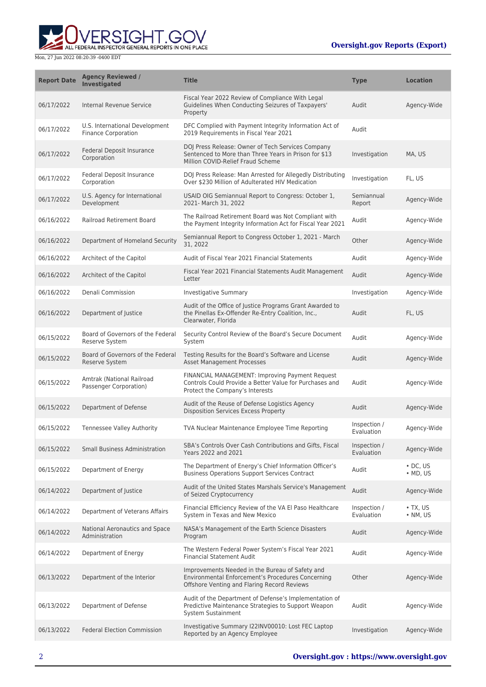

| <b>Report Date</b> | <b>Agency Reviewed /</b><br><b>Investigated</b>              | <b>Title</b>                                                                                                                                        | <b>Type</b>                | <b>Location</b>                    |
|--------------------|--------------------------------------------------------------|-----------------------------------------------------------------------------------------------------------------------------------------------------|----------------------------|------------------------------------|
| 06/17/2022         | Internal Revenue Service                                     | Fiscal Year 2022 Review of Compliance With Legal<br>Guidelines When Conducting Seizures of Taxpayers'<br>Property                                   | Audit                      | Agency-Wide                        |
| 06/17/2022         | U.S. International Development<br><b>Finance Corporation</b> | DFC Complied with Payment Integrity Information Act of<br>2019 Requirements in Fiscal Year 2021                                                     | Audit                      |                                    |
| 06/17/2022         | Federal Deposit Insurance<br>Corporation                     | DOJ Press Release: Owner of Tech Services Company<br>Sentenced to More than Three Years in Prison for \$13<br>Million COVID-Relief Fraud Scheme     | Investigation              | MA, US                             |
| 06/17/2022         | Federal Deposit Insurance<br>Corporation                     | DOJ Press Release: Man Arrested for Allegedly Distributing<br>Over \$230 Million of Adulterated HIV Medication                                      | Investigation              | FL, US                             |
| 06/17/2022         | U.S. Agency for International<br>Development                 | USAID OIG Semiannual Report to Congress: October 1,<br>2021- March 31, 2022                                                                         | Semiannual<br>Report       | Agency-Wide                        |
| 06/16/2022         | <b>Railroad Retirement Board</b>                             | The Railroad Retirement Board was Not Compliant with<br>the Payment Integrity Information Act for Fiscal Year 2021                                  | Audit                      | Agency-Wide                        |
| 06/16/2022         | Department of Homeland Security                              | Semiannual Report to Congress October 1, 2021 - March<br>31, 2022                                                                                   | Other                      | Agency-Wide                        |
| 06/16/2022         | Architect of the Capitol                                     | Audit of Fiscal Year 2021 Financial Statements                                                                                                      | Audit                      | Agency-Wide                        |
| 06/16/2022         | Architect of the Capitol                                     | Fiscal Year 2021 Financial Statements Audit Management<br>Letter                                                                                    | Audit                      | Agency-Wide                        |
| 06/16/2022         | Denali Commission                                            | <b>Investigative Summary</b>                                                                                                                        | Investigation              | Agency-Wide                        |
| 06/16/2022         | Department of Justice                                        | Audit of the Office of Justice Programs Grant Awarded to<br>the Pinellas Ex-Offender Re-Entry Coalition, Inc.,<br>Clearwater, Florida               | Audit                      | FL, US                             |
| 06/15/2022         | Board of Governors of the Federal<br>Reserve System          | Security Control Review of the Board's Secure Document<br>System                                                                                    | Audit                      | Agency-Wide                        |
| 06/15/2022         | Board of Governors of the Federal<br><b>Reserve System</b>   | Testing Results for the Board's Software and License<br><b>Asset Management Processes</b>                                                           | Audit                      | Agency-Wide                        |
| 06/15/2022         | Amtrak (National Railroad<br>Passenger Corporation)          | FINANCIAL MANAGEMENT: Improving Payment Request<br>Controls Could Provide a Better Value for Purchases and<br>Protect the Company's Interests       | Audit                      | Agency-Wide                        |
| 06/15/2022         | Department of Defense                                        | Audit of the Reuse of Defense Logistics Agency<br><b>Disposition Services Excess Property</b>                                                       | Audit                      | Agency-Wide                        |
| 06/15/2022         | <b>Tennessee Valley Authority</b>                            | <b>TVA Nuclear Maintenance Employee Time Reporting</b>                                                                                              | Inspection /<br>Evaluation | Agency-Wide                        |
| 06/15/2022         | <b>Small Business Administration</b>                         | SBA's Controls Over Cash Contributions and Gifts, Fiscal<br>Years 2022 and 2021                                                                     | Inspection /<br>Evaluation | Agency-Wide                        |
| 06/15/2022         | Department of Energy                                         | The Department of Energy's Chief Information Officer's<br><b>Business Operations Support Services Contract</b>                                      | Audit                      | $\cdot$ DC, US<br>$·$ MD, US       |
| 06/14/2022         | Department of Justice                                        | Audit of the United States Marshals Service's Management<br>of Seized Cryptocurrency                                                                | Audit                      | Agency-Wide                        |
| 06/14/2022         | Department of Veterans Affairs                               | Financial Efficiency Review of the VA El Paso Healthcare<br>System in Texas and New Mexico                                                          | Inspection /<br>Evaluation | $\cdot$ TX. US<br>$\bullet$ NM, US |
| 06/14/2022         | National Aeronautics and Space<br>Administration             | NASA's Management of the Earth Science Disasters<br>Program                                                                                         | Audit                      | Agency-Wide                        |
| 06/14/2022         | Department of Energy                                         | The Western Federal Power System's Fiscal Year 2021<br><b>Financial Statement Audit</b>                                                             | Audit                      | Agency-Wide                        |
| 06/13/2022         | Department of the Interior                                   | Improvements Needed in the Bureau of Safety and<br>Environmental Enforcement's Procedures Concerning<br>Offshore Venting and Flaring Record Reviews | Other                      | Agency-Wide                        |
| 06/13/2022         | Department of Defense                                        | Audit of the Department of Defense's Implementation of<br>Predictive Maintenance Strategies to Support Weapon<br>System Sustainment                 | Audit                      | Agency-Wide                        |
| 06/13/2022         | <b>Federal Election Commission</b>                           | Investigative Summary I22INV00010: Lost FEC Laptop<br>Reported by an Agency Employee                                                                | Investigation              | Agency-Wide                        |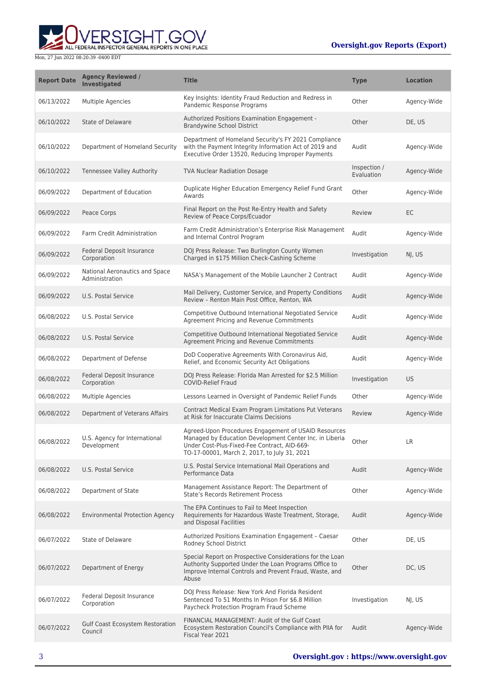

| <b>Report Date</b> | <b>Agency Reviewed /</b><br><b>Investigated</b>  | <b>Title</b>                                                                                                                                                                                                    | <b>Type</b>                | <b>Location</b> |
|--------------------|--------------------------------------------------|-----------------------------------------------------------------------------------------------------------------------------------------------------------------------------------------------------------------|----------------------------|-----------------|
| 06/13/2022         | Multiple Agencies                                | Key Insights: Identity Fraud Reduction and Redress in<br>Pandemic Response Programs                                                                                                                             | Other                      | Agency-Wide     |
| 06/10/2022         | <b>State of Delaware</b>                         | <b>Authorized Positions Examination Engagement -</b><br><b>Brandywine School District</b>                                                                                                                       | Other                      | DE, US          |
| 06/10/2022         | Department of Homeland Security                  | Department of Homeland Security's FY 2021 Compliance<br>with the Payment Integrity Information Act of 2019 and<br>Executive Order 13520, Reducing Improper Payments                                             | Audit                      | Agency-Wide     |
| 06/10/2022         | Tennessee Valley Authority                       | <b>TVA Nuclear Radiation Dosage</b>                                                                                                                                                                             | Inspection /<br>Evaluation | Agency-Wide     |
| 06/09/2022         | Department of Education                          | Duplicate Higher Education Emergency Relief Fund Grant<br>Awards                                                                                                                                                | Other                      | Agency-Wide     |
| 06/09/2022         | Peace Corps                                      | Final Report on the Post Re-Entry Health and Safety<br>Review of Peace Corps/Ecuador                                                                                                                            | Review                     | EC              |
| 06/09/2022         | Farm Credit Administration                       | Farm Credit Administration's Enterprise Risk Management<br>and Internal Control Program                                                                                                                         | Audit                      | Agency-Wide     |
| 06/09/2022         | Federal Deposit Insurance<br>Corporation         | DOJ Press Release: Two Burlington County Women<br>Charged in \$175 Million Check-Cashing Scheme                                                                                                                 | Investigation              | NJ, US          |
| 06/09/2022         | National Aeronautics and Space<br>Administration | NASA's Management of the Mobile Launcher 2 Contract                                                                                                                                                             | Audit                      | Agency-Wide     |
| 06/09/2022         | U.S. Postal Service                              | Mail Delivery, Customer Service, and Property Conditions<br>Review - Renton Main Post Office, Renton, WA                                                                                                        | Audit                      | Agency-Wide     |
| 06/08/2022         | U.S. Postal Service                              | Competitive Outbound International Negotiated Service<br>Agreement Pricing and Revenue Commitments                                                                                                              | Audit                      | Agency-Wide     |
| 06/08/2022         | U.S. Postal Service                              | Competitive Outbound International Negotiated Service<br>Agreement Pricing and Revenue Commitments                                                                                                              | Audit                      | Agency-Wide     |
| 06/08/2022         | Department of Defense                            | DoD Cooperative Agreements With Coronavirus Aid,<br>Relief, and Economic Security Act Obligations                                                                                                               | Audit                      | Agency-Wide     |
| 06/08/2022         | Federal Deposit Insurance<br>Corporation         | DOJ Press Release: Florida Man Arrested for \$2.5 Million<br><b>COVID-Relief Fraud</b>                                                                                                                          | Investigation              | <b>US</b>       |
| 06/08/2022         | Multiple Agencies                                | Lessons Learned in Oversight of Pandemic Relief Funds                                                                                                                                                           | Other                      | Agency-Wide     |
| 06/08/2022         | Department of Veterans Affairs                   | Contract Medical Exam Program Limitations Put Veterans<br>at Risk for Inaccurate Claims Decisions                                                                                                               | Review                     | Agency-Wide     |
| 06/08/2022         | U.S. Agency for International<br>Development     | Agreed-Upon Procedures Engagement of USAID Resources<br>Managed by Education Development Center Inc. in Liberia<br>Under Cost-Plus-Fixed-Fee Contract, AID-669-<br>TO-17-00001, March 2, 2017, to July 31, 2021 | Other                      | LR              |
| 06/08/2022         | U.S. Postal Service                              | U.S. Postal Service International Mail Operations and<br>Performance Data                                                                                                                                       | Audit                      | Agency-Wide     |
| 06/08/2022         | Department of State                              | Management Assistance Report: The Department of<br>State's Records Retirement Process                                                                                                                           | Other                      | Agency-Wide     |
| 06/08/2022         | <b>Environmental Protection Agency</b>           | The EPA Continues to Fail to Meet Inspection<br>Requirements for Hazardous Waste Treatment, Storage,<br>and Disposal Facilities                                                                                 | Audit                      | Agency-Wide     |
| 06/07/2022         | State of Delaware                                | Authorized Positions Examination Engagement - Caesar<br>Rodney School District                                                                                                                                  | Other                      | DE, US          |
| 06/07/2022         | Department of Energy                             | Special Report on Prospective Considerations for the Loan<br>Authority Supported Under the Loan Programs Office to<br>Improve Internal Controls and Prevent Fraud, Waste, and<br>Abuse                          | Other                      | DC, US          |
| 06/07/2022         | Federal Deposit Insurance<br>Corporation         | DOJ Press Release: New York And Florida Resident<br>Sentenced To 51 Months In Prison For \$6.8 Million<br>Paycheck Protection Program Fraud Scheme                                                              | Investigation              | NJ, US          |
| 06/07/2022         | Gulf Coast Ecosystem Restoration<br>Council      | FINANCIAL MANAGEMENT: Audit of the Gulf Coast<br>Ecosystem Restoration Council's Compliance with PIIA for<br>Fiscal Year 2021                                                                                   | Audit                      | Agency-Wide     |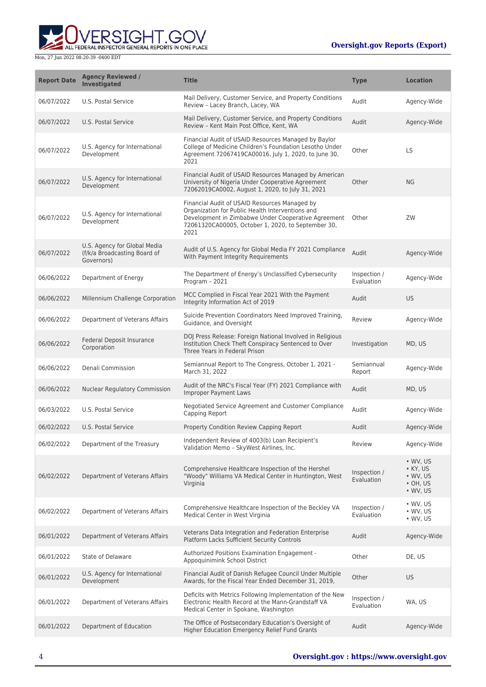

| <b>Report Date</b> | <b>Agency Reviewed /</b><br><b>Investigated</b>                            | <b>Title</b>                                                                                                                                                                                                           | <b>Type</b>                | <b>Location</b>                                                                        |
|--------------------|----------------------------------------------------------------------------|------------------------------------------------------------------------------------------------------------------------------------------------------------------------------------------------------------------------|----------------------------|----------------------------------------------------------------------------------------|
| 06/07/2022         | U.S. Postal Service                                                        | Mail Delivery, Customer Service, and Property Conditions<br>Review - Lacey Branch, Lacey, WA                                                                                                                           | Audit                      | Agency-Wide                                                                            |
| 06/07/2022         | U.S. Postal Service                                                        | Mail Delivery, Customer Service, and Property Conditions<br>Review - Kent Main Post Office, Kent, WA                                                                                                                   | Audit                      | Agency-Wide                                                                            |
| 06/07/2022         | U.S. Agency for International<br>Development                               | Financial Audit of USAID Resources Managed by Baylor<br>College of Medicine Children's Foundation Lesotho Under<br>Agreement 72067419CA00016, July 1, 2020, to June 30,<br>2021                                        | Other                      | LS.                                                                                    |
| 06/07/2022         | U.S. Agency for International<br>Development                               | Financial Audit of USAID Resources Managed by American<br>University of Nigeria Under Cooperative Agreement<br>72062019CA0002, August 1, 2020, to July 31, 2021                                                        | Other                      | <b>NG</b>                                                                              |
| 06/07/2022         | U.S. Agency for International<br>Development                               | Financial Audit of USAID Resources Managed by<br>Organization for Public Health Interventions and<br>Development in Zimbabwe Under Cooperative Agreement<br>72061320CA00005, October 1, 2020, to September 30,<br>2021 | Other                      | ZW                                                                                     |
| 06/07/2022         | U.S. Agency for Global Media<br>(f/k/a Broadcasting Board of<br>Governors) | Audit of U.S. Agency for Global Media FY 2021 Compliance<br>With Payment Integrity Requirements                                                                                                                        | Audit                      | Agency-Wide                                                                            |
| 06/06/2022         | Department of Energy                                                       | The Department of Energy's Unclassified Cybersecurity<br>Program - 2021                                                                                                                                                | Inspection /<br>Evaluation | Agency-Wide                                                                            |
| 06/06/2022         | Millennium Challenge Corporation                                           | MCC Complied in Fiscal Year 2021 With the Payment<br>Integrity Information Act of 2019                                                                                                                                 | Audit                      | US.                                                                                    |
| 06/06/2022         | Department of Veterans Affairs                                             | Suicide Prevention Coordinators Need Improved Training,<br>Guidance, and Oversight                                                                                                                                     | Review                     | Agency-Wide                                                                            |
| 06/06/2022         | Federal Deposit Insurance<br>Corporation                                   | DOJ Press Release: Foreign National Involved in Religious<br>Institution Check Theft Conspiracy Sentenced to Over<br>Three Years in Federal Prison                                                                     | Investigation              | MD, US                                                                                 |
| 06/06/2022         | Denali Commission                                                          | Semiannual Report to The Congress, October 1, 2021 -<br>March 31, 2022                                                                                                                                                 | Semiannual<br>Report       | Agency-Wide                                                                            |
| 06/06/2022         | Nuclear Regulatory Commission                                              | Audit of the NRC's Fiscal Year (FY) 2021 Compliance with<br><b>Improper Payment Laws</b>                                                                                                                               | Audit                      | MD, US                                                                                 |
| 06/03/2022         | U.S. Postal Service                                                        | Negotiated Service Agreement and Customer Compliance<br>Capping Report                                                                                                                                                 | Audit                      | Agency-Wide                                                                            |
| 06/02/2022         | <b>U.S. Postal Service</b>                                                 | Property Condition Review Capping Report                                                                                                                                                                               | Audit                      | Agency-Wide                                                                            |
| 06/02/2022         | Department of the Treasury                                                 | Independent Review of 4003(b) Loan Recipient's<br>Validation Memo - SkyWest Airlines, Inc.                                                                                                                             | Review                     | Agency-Wide                                                                            |
| 06/02/2022         | Department of Veterans Affairs                                             | Comprehensive Healthcare Inspection of the Hershel<br>"Woody" Williams VA Medical Center in Huntington, West<br>Virginia                                                                                               | Inspection /<br>Evaluation | • WV, US<br>$\bullet$ KY, US<br>$\bullet$ WV, US<br>$\cdot$ OH, US<br>$\bullet$ WV, US |
| 06/02/2022         | Department of Veterans Affairs                                             | Comprehensive Healthcare Inspection of the Beckley VA<br>Medical Center in West Virginia                                                                                                                               | Inspection /<br>Evaluation | $\bullet$ WV, US<br>$\bullet$ WV, US<br>• WV, US                                       |
| 06/01/2022         | Department of Veterans Affairs                                             | Veterans Data Integration and Federation Enterprise<br>Platform Lacks Sufficient Security Controls                                                                                                                     | Audit                      | Agency-Wide                                                                            |
| 06/01/2022         | State of Delaware                                                          | Authorized Positions Examination Engagement -<br>Appoquinimink School District                                                                                                                                         | Other                      | DE, US                                                                                 |
| 06/01/2022         | U.S. Agency for International<br>Development                               | Financial Audit of Danish Refugee Council Under Multiple<br>Awards, for the Fiscal Year Ended December 31, 2019,                                                                                                       | Other                      | US                                                                                     |
| 06/01/2022         | Department of Veterans Affairs                                             | Deficits with Metrics Following Implementation of the New<br>Electronic Health Record at the Mann-Grandstaff VA<br>Medical Center in Spokane, Washington                                                               | Inspection /<br>Evaluation | WA, US                                                                                 |
| 06/01/2022         | Department of Education                                                    | The Office of Postsecondary Education's Oversight of<br>Higher Education Emergency Relief Fund Grants                                                                                                                  | Audit                      | Agency-Wide                                                                            |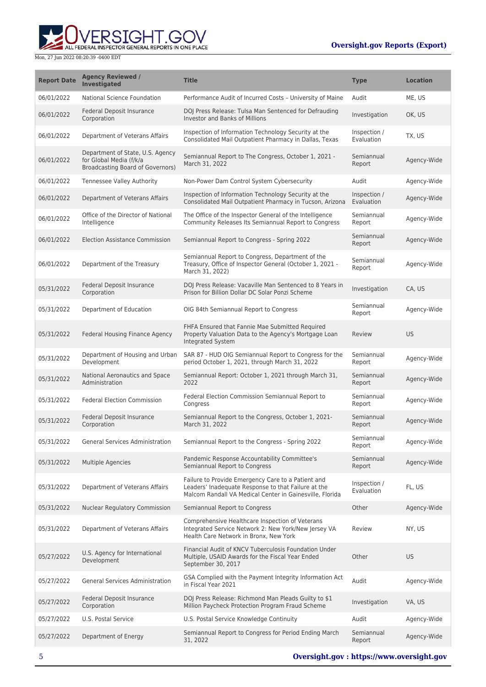

| <b>Report Date</b> | <b>Agency Reviewed /</b><br><b>Investigated</b>                                                        | <b>Title</b>                                                                                                                                                          | <b>Type</b>                | <b>Location</b> |
|--------------------|--------------------------------------------------------------------------------------------------------|-----------------------------------------------------------------------------------------------------------------------------------------------------------------------|----------------------------|-----------------|
| 06/01/2022         | National Science Foundation                                                                            | Performance Audit of Incurred Costs - University of Maine                                                                                                             | Audit                      | ME, US          |
| 06/01/2022         | Federal Deposit Insurance<br>Corporation                                                               | DOJ Press Release: Tulsa Man Sentenced for Defrauding<br><b>Investor and Banks of Millions</b>                                                                        | Investigation              | OK, US          |
| 06/01/2022         | Department of Veterans Affairs                                                                         | Inspection of Information Technology Security at the<br>Consolidated Mail Outpatient Pharmacy in Dallas, Texas                                                        | Inspection /<br>Evaluation | TX, US          |
| 06/01/2022         | Department of State, U.S. Agency<br>for Global Media (f/k/a<br><b>Broadcasting Board of Governors)</b> | Semiannual Report to The Congress, October 1, 2021 -<br>March 31, 2022                                                                                                | Semiannual<br>Report       | Agency-Wide     |
| 06/01/2022         | <b>Tennessee Valley Authority</b>                                                                      | Non-Power Dam Control System Cybersecurity                                                                                                                            | Audit                      | Agency-Wide     |
| 06/01/2022         | Department of Veterans Affairs                                                                         | Inspection of Information Technology Security at the<br>Consolidated Mail Outpatient Pharmacy in Tucson, Arizona                                                      | Inspection /<br>Evaluation | Agency-Wide     |
| 06/01/2022         | Office of the Director of National<br>Intelligence                                                     | The Office of the Inspector General of the Intelligence<br>Community Releases Its Semiannual Report to Congress                                                       | Semiannual<br>Report       | Agency-Wide     |
| 06/01/2022         | <b>Election Assistance Commission</b>                                                                  | Semiannual Report to Congress - Spring 2022                                                                                                                           | Semiannual<br>Report       | Agency-Wide     |
| 06/01/2022         | Department of the Treasury                                                                             | Semiannual Report to Congress, Department of the<br>Treasury, Office of Inspector General (October 1, 2021 -<br>March 31, 2022)                                       | Semiannual<br>Report       | Agency-Wide     |
| 05/31/2022         | Federal Deposit Insurance<br>Corporation                                                               | DOJ Press Release: Vacaville Man Sentenced to 8 Years in<br>Prison for Billion Dollar DC Solar Ponzi Scheme                                                           | Investigation              | CA, US          |
| 05/31/2022         | Department of Education                                                                                | OIG 84th Semiannual Report to Congress                                                                                                                                | Semiannual<br>Report       | Agency-Wide     |
| 05/31/2022         | Federal Housing Finance Agency                                                                         | FHFA Ensured that Fannie Mae Submitted Required<br>Property Valuation Data to the Agency's Mortgage Loan<br>Integrated System                                         | Review                     | <b>US</b>       |
| 05/31/2022         | Department of Housing and Urban<br>Development                                                         | SAR 87 - HUD OIG Semiannual Report to Congress for the<br>period October 1, 2021, through March 31, 2022                                                              | Semiannual<br>Report       | Agency-Wide     |
| 05/31/2022         | National Aeronautics and Space<br>Administration                                                       | Semiannual Report: October 1, 2021 through March 31,<br>2022                                                                                                          | Semiannual<br>Report       | Agency-Wide     |
| 05/31/2022         | <b>Federal Election Commission</b>                                                                     | Federal Election Commission Semiannual Report to<br>Congress                                                                                                          | Semiannual<br>Report       | Agency-Wide     |
| 05/31/2022         | Federal Deposit Insurance<br>Corporation                                                               | Semiannual Report to the Congress, October 1, 2021-<br>March 31, 2022                                                                                                 | Semiannual<br>Report       | Agency-Wide     |
| 05/31/2022         | General Services Administration                                                                        | Semiannual Report to the Congress - Spring 2022                                                                                                                       | Semiannual<br>Report       | Agency-Wide     |
| 05/31/2022         | Multiple Agencies                                                                                      | Pandemic Response Accountability Committee's<br>Semiannual Report to Congress                                                                                         | Semiannual<br>Report       | Agency-Wide     |
| 05/31/2022         | Department of Veterans Affairs                                                                         | Failure to Provide Emergency Care to a Patient and<br>Leaders' Inadequate Response to that Failure at the<br>Malcom Randall VA Medical Center in Gainesville, Florida | Inspection /<br>Evaluation | FL, US          |
| 05/31/2022         | <b>Nuclear Regulatory Commission</b>                                                                   | Semiannual Report to Congress                                                                                                                                         | Other                      | Agency-Wide     |
| 05/31/2022         | Department of Veterans Affairs                                                                         | Comprehensive Healthcare Inspection of Veterans<br>Integrated Service Network 2: New York/New Jersey VA<br>Health Care Network in Bronx, New York                     | Review                     | NY, US          |
| 05/27/2022         | U.S. Agency for International<br>Development                                                           | Financial Audit of KNCV Tuberculosis Foundation Under<br>Multiple, USAID Awards for the Fiscal Year Ended<br>September 30, 2017                                       | Other                      | <b>US</b>       |
| 05/27/2022         | <b>General Services Administration</b>                                                                 | GSA Complied with the Payment Integrity Information Act<br>in Fiscal Year 2021                                                                                        | Audit                      | Agency-Wide     |
| 05/27/2022         | Federal Deposit Insurance<br>Corporation                                                               | DOJ Press Release: Richmond Man Pleads Guilty to \$1<br>Million Paycheck Protection Program Fraud Scheme                                                              | Investigation              | VA, US          |
| 05/27/2022         | U.S. Postal Service                                                                                    | U.S. Postal Service Knowledge Continuity                                                                                                                              | Audit                      | Agency-Wide     |
| 05/27/2022         | Department of Energy                                                                                   | Semiannual Report to Congress for Period Ending March<br>31, 2022                                                                                                     | Semiannual<br>Report       | Agency-Wide     |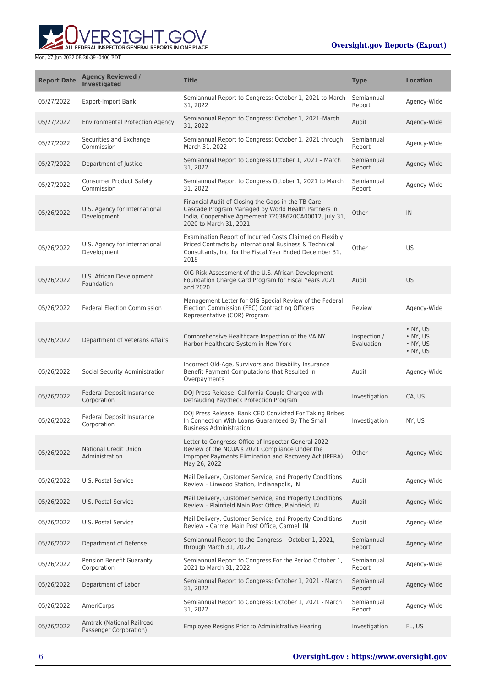

| <b>Report Date</b> | <b>Agency Reviewed /</b><br><b>Investigated</b>     | <b>Title</b>                                                                                                                                                                                  | <b>Type</b>                | <b>Location</b>                              |
|--------------------|-----------------------------------------------------|-----------------------------------------------------------------------------------------------------------------------------------------------------------------------------------------------|----------------------------|----------------------------------------------|
| 05/27/2022         | <b>Export-Import Bank</b>                           | Semiannual Report to Congress: October 1, 2021 to March<br>31, 2022                                                                                                                           | Semiannual<br>Report       | Agency-Wide                                  |
| 05/27/2022         | <b>Environmental Protection Agency</b>              | Semiannual Report to Congress: October 1, 2021-March<br>31, 2022                                                                                                                              | Audit                      | Agency-Wide                                  |
| 05/27/2022         | Securities and Exchange<br>Commission               | Semiannual Report to Congress: October 1, 2021 through<br>March 31, 2022                                                                                                                      | Semiannual<br>Report       | Agency-Wide                                  |
| 05/27/2022         | Department of Justice                               | Semiannual Report to Congress October 1, 2021 - March<br>31, 2022                                                                                                                             | Semiannual<br>Report       | Agency-Wide                                  |
| 05/27/2022         | <b>Consumer Product Safety</b><br>Commission        | Semiannual Report to Congress October 1, 2021 to March<br>31, 2022                                                                                                                            | Semiannual<br>Report       | Agency-Wide                                  |
| 05/26/2022         | U.S. Agency for International<br>Development        | Financial Audit of Closing the Gaps in the TB Care<br>Cascade Program Managed by World Health Partners in<br>India, Cooperative Agreement 72038620CA00012, July 31,<br>2020 to March 31, 2021 | Other                      | IN                                           |
| 05/26/2022         | U.S. Agency for International<br>Development        | Examination Report of Incurred Costs Claimed on Flexibly<br>Priced Contracts by International Business & Technical<br>Consultants, Inc. for the Fiscal Year Ended December 31,<br>2018        | Other                      | <b>US</b>                                    |
| 05/26/2022         | U.S. African Development<br>Foundation              | OIG Risk Assessment of the U.S. African Development<br>Foundation Charge Card Program for Fiscal Years 2021<br>and 2020                                                                       | Audit                      | <b>US</b>                                    |
| 05/26/2022         | <b>Federal Election Commission</b>                  | Management Letter for OIG Special Review of the Federal<br>Election Commission (FEC) Contracting Officers<br>Representative (COR) Program                                                     | Review                     | Agency-Wide                                  |
| 05/26/2022         | Department of Veterans Affairs                      | Comprehensive Healthcare Inspection of the VA NY<br>Harbor Healthcare System in New York                                                                                                      | Inspection /<br>Evaluation | • NY, US<br>• NY, US<br>• NY, US<br>• NY, US |
| 05/26/2022         | Social Security Administration                      | Incorrect Old-Age, Survivors and Disability Insurance<br>Benefit Payment Computations that Resulted in<br>Overpayments                                                                        | Audit                      | Agency-Wide                                  |
| 05/26/2022         | Federal Deposit Insurance<br>Corporation            | DOJ Press Release: California Couple Charged with<br>Defrauding Paycheck Protection Program                                                                                                   | Investigation              | CA, US                                       |
| 05/26/2022         | Federal Deposit Insurance<br>Corporation            | DOJ Press Release: Bank CEO Convicted For Taking Bribes<br>In Connection With Loans Guaranteed By The Small<br><b>Business Administration</b>                                                 | Investigation              | NY, US                                       |
| 05/26/2022         | <b>National Credit Union</b><br>Administration      | Letter to Congress: Office of Inspector General 2022<br>Review of the NCUA's 2021 Compliance Under the<br>Improper Payments Elimination and Recovery Act (IPERA)<br>May 26, 2022              | Other                      | Agency-Wide                                  |
| 05/26/2022         | U.S. Postal Service                                 | Mail Delivery, Customer Service, and Property Conditions<br>Review - Linwood Station, Indianapolis, IN                                                                                        | Audit                      | Agency-Wide                                  |
| 05/26/2022         | U.S. Postal Service                                 | Mail Delivery, Customer Service, and Property Conditions<br>Review - Plainfield Main Post Office, Plainfield, IN                                                                              | Audit                      | Agency-Wide                                  |
| 05/26/2022         | U.S. Postal Service                                 | Mail Delivery, Customer Service, and Property Conditions<br>Review - Carmel Main Post Office, Carmel, IN                                                                                      | Audit                      | Agency-Wide                                  |
| 05/26/2022         | Department of Defense                               | Semiannual Report to the Congress - October 1, 2021,<br>through March 31, 2022                                                                                                                | Semiannual<br>Report       | Agency-Wide                                  |
| 05/26/2022         | Pension Benefit Guaranty<br>Corporation             | Semiannual Report to Congress For the Period October 1,<br>2021 to March 31, 2022                                                                                                             | Semiannual<br>Report       | Agency-Wide                                  |
| 05/26/2022         | Department of Labor                                 | Semiannual Report to Congress: October 1, 2021 - March<br>31, 2022                                                                                                                            | Semiannual<br>Report       | Agency-Wide                                  |
| 05/26/2022         | AmeriCorps                                          | Semiannual Report to Congress: October 1, 2021 - March<br>31, 2022                                                                                                                            | Semiannual<br>Report       | Agency-Wide                                  |
| 05/26/2022         | Amtrak (National Railroad<br>Passenger Corporation) | Employee Resigns Prior to Administrative Hearing                                                                                                                                              | Investigation              | FL, US                                       |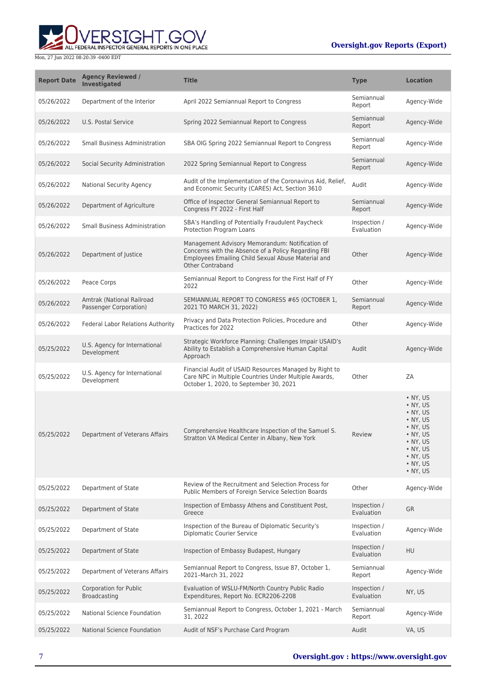# **WERSIGHT.GOV**

#### **Oversight.gov Reports (Export)**

| <b>Report Date</b> | <b>Agency Reviewed /</b><br><b>Investigated</b>      | <b>Title</b>                                                                                                                                                                            | <b>Type</b>                | <b>Location</b>                                                                                                                                                                                          |
|--------------------|------------------------------------------------------|-----------------------------------------------------------------------------------------------------------------------------------------------------------------------------------------|----------------------------|----------------------------------------------------------------------------------------------------------------------------------------------------------------------------------------------------------|
| 05/26/2022         | Department of the Interior                           | April 2022 Semiannual Report to Congress                                                                                                                                                | Semiannual<br>Report       | Agency-Wide                                                                                                                                                                                              |
| 05/26/2022         | U.S. Postal Service                                  | Spring 2022 Semiannual Report to Congress                                                                                                                                               | Semiannual<br>Report       | Agency-Wide                                                                                                                                                                                              |
| 05/26/2022         | <b>Small Business Administration</b>                 | SBA OIG Spring 2022 Semiannual Report to Congress                                                                                                                                       | Semiannual<br>Report       | Agency-Wide                                                                                                                                                                                              |
| 05/26/2022         | Social Security Administration                       | 2022 Spring Semiannual Report to Congress                                                                                                                                               | Semiannual<br>Report       | Agency-Wide                                                                                                                                                                                              |
| 05/26/2022         | <b>National Security Agency</b>                      | Audit of the Implementation of the Coronavirus Aid, Relief,<br>and Economic Security (CARES) Act, Section 3610                                                                          | Audit                      | Agency-Wide                                                                                                                                                                                              |
| 05/26/2022         | Department of Agriculture                            | Office of Inspector General Semiannual Report to<br>Congress FY 2022 - First Half                                                                                                       | Semiannual<br>Report       | Agency-Wide                                                                                                                                                                                              |
| 05/26/2022         | <b>Small Business Administration</b>                 | SBA's Handling of Potentially Fraudulent Paycheck<br>Protection Program Loans                                                                                                           | Inspection /<br>Evaluation | Agency-Wide                                                                                                                                                                                              |
| 05/26/2022         | Department of Justice                                | Management Advisory Memorandum: Notification of<br>Concerns with the Absence of a Policy Regarding FBI<br>Employees Emailing Child Sexual Abuse Material and<br><b>Other Contraband</b> | Other                      | Agency-Wide                                                                                                                                                                                              |
| 05/26/2022         | Peace Corps                                          | Semiannual Report to Congress for the First Half of FY<br>2022                                                                                                                          | Other                      | Agency-Wide                                                                                                                                                                                              |
| 05/26/2022         | Amtrak (National Railroad<br>Passenger Corporation)  | SEMIANNUAL REPORT TO CONGRESS #65 (OCTOBER 1,<br>2021 TO MARCH 31, 2022)                                                                                                                | Semiannual<br>Report       | Agency-Wide                                                                                                                                                                                              |
| 05/26/2022         | <b>Federal Labor Relations Authority</b>             | Privacy and Data Protection Policies, Procedure and<br>Practices for 2022                                                                                                               | Other                      | Agency-Wide                                                                                                                                                                                              |
| 05/25/2022         | U.S. Agency for International<br>Development         | Strategic Workforce Planning: Challenges Impair USAID's<br>Ability to Establish a Comprehensive Human Capital<br>Approach                                                               | Audit                      | Agency-Wide                                                                                                                                                                                              |
| 05/25/2022         | U.S. Agency for International<br>Development         | Financial Audit of USAID Resources Managed by Right to<br>Care NPC in Multiple Countries Under Multiple Awards,<br>October 1, 2020, to September 30, 2021                               | Other                      | ZΑ                                                                                                                                                                                                       |
| 05/25/2022         | Department of Veterans Affairs                       | Comprehensive Healthcare Inspection of the Samuel S.<br>Stratton VA Medical Center in Albany, New York                                                                                  | Review                     | $\bullet$ NY, US<br>$\bullet$ NY, US<br>$\bullet$ NY, US<br>$\bullet$ NY, US<br>$\bullet$ NY, US<br>• NY, US<br>$\bullet$ NY, US<br>• NY, US<br>$\bullet$ NY, US<br>$\bullet$ NY, US<br>$\bullet$ NY, US |
| 05/25/2022         | Department of State                                  | Review of the Recruitment and Selection Process for<br>Public Members of Foreign Service Selection Boards                                                                               | Other                      | Agency-Wide                                                                                                                                                                                              |
| 05/25/2022         | Department of State                                  | Inspection of Embassy Athens and Constituent Post,<br>Greece                                                                                                                            | Inspection /<br>Evaluation | <b>GR</b>                                                                                                                                                                                                |
| 05/25/2022         | Department of State                                  | Inspection of the Bureau of Diplomatic Security's<br><b>Diplomatic Courier Service</b>                                                                                                  | Inspection /<br>Evaluation | Agency-Wide                                                                                                                                                                                              |
| 05/25/2022         | Department of State                                  | Inspection of Embassy Budapest, Hungary                                                                                                                                                 | Inspection /<br>Evaluation | HU                                                                                                                                                                                                       |
| 05/25/2022         | Department of Veterans Affairs                       | Semiannual Report to Congress, Issue 87, October 1,<br>2021-March 31, 2022                                                                                                              | Semiannual<br>Report       | Agency-Wide                                                                                                                                                                                              |
| 05/25/2022         | <b>Corporation for Public</b><br><b>Broadcasting</b> | Evaluation of WSLU-FM/North Country Public Radio<br>Expenditures, Report No. ECR2206-2208                                                                                               | Inspection /<br>Evaluation | NY, US                                                                                                                                                                                                   |
| 05/25/2022         | National Science Foundation                          | Semiannual Report to Congress, October 1, 2021 - March<br>31, 2022                                                                                                                      | Semiannual<br>Report       | Agency-Wide                                                                                                                                                                                              |
| 05/25/2022         | National Science Foundation                          | Audit of NSF's Purchase Card Program                                                                                                                                                    | Audit                      | VA, US                                                                                                                                                                                                   |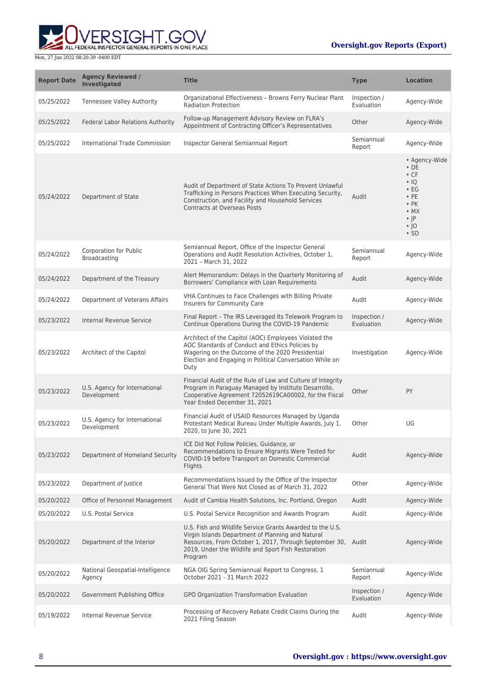

| <b>Report Date</b> | <b>Agency Reviewed /</b><br><b>Investigated</b> | <b>Title</b>                                                                                                                                                                                                                                     | <b>Type</b>                | <b>Location</b>                                                                                                                                             |
|--------------------|-------------------------------------------------|--------------------------------------------------------------------------------------------------------------------------------------------------------------------------------------------------------------------------------------------------|----------------------------|-------------------------------------------------------------------------------------------------------------------------------------------------------------|
| 05/25/2022         | <b>Tennessee Valley Authority</b>               | Organizational Effectiveness - Browns Ferry Nuclear Plant<br><b>Radiation Protection</b>                                                                                                                                                         | Inspection /<br>Evaluation | Agency-Wide                                                                                                                                                 |
| 05/25/2022         | Federal Labor Relations Authority               | Follow-up Management Advisory Review on FLRA's<br>Appointment of Contracting Officer's Representatives                                                                                                                                           | Other                      | Agency-Wide                                                                                                                                                 |
| 05/25/2022         | International Trade Commission                  | Inspector General Semiannual Report                                                                                                                                                                                                              | Semiannual<br>Report       | Agency-Wide                                                                                                                                                 |
| 05/24/2022         | Department of State                             | Audit of Department of State Actions To Prevent Unlawful<br>Trafficking in Persons Practices When Executing Security,<br>Construction, and Facility and Household Services<br><b>Contracts at Overseas Posts</b>                                 | Audit                      | • Agency-Wide<br>$\cdot$ DE<br>$\cdot$ CF<br>$\cdot$ IQ<br>$\cdot$ EG<br>$\cdot$ PE<br>$\cdot$ PK<br>$\bullet$ MX<br>$\cdot$  P<br>$\cdot$  O<br>$\cdot$ SD |
| 05/24/2022         | Corporation for Public<br>Broadcasting          | Semiannual Report, Office of the Inspector General<br>Operations and Audit Resolution Activities, October 1,<br>2021 - March 31, 2022                                                                                                            | Semiannual<br>Report       | Agency-Wide                                                                                                                                                 |
| 05/24/2022         | Department of the Treasury                      | Alert Memorandum: Delays in the Quarterly Monitoring of<br>Borrowers' Compliance with Loan Requirements                                                                                                                                          | Audit                      | Agency-Wide                                                                                                                                                 |
| 05/24/2022         | Department of Veterans Affairs                  | VHA Continues to Face Challenges with Billing Private<br>Insurers for Community Care                                                                                                                                                             | Audit                      | Agency-Wide                                                                                                                                                 |
| 05/23/2022         | Internal Revenue Service                        | Final Report - The IRS Leveraged Its Telework Program to<br>Continue Operations During the COVID-19 Pandemic                                                                                                                                     | Inspection /<br>Evaluation | Agency-Wide                                                                                                                                                 |
| 05/23/2022         | Architect of the Capitol                        | Architect of the Capitol (AOC) Employees Violated the<br>AOC Standards of Conduct and Ethics Policies by<br>Wagering on the Outcome of the 2020 Presidential<br>Election and Engaging in Political Conversation While on<br>Duty                 | Investigation              | Agency-Wide                                                                                                                                                 |
| 05/23/2022         | U.S. Agency for International<br>Development    | Financial Audit of the Rule of Law and Culture of Integrity<br>Program in Paraguay Managed by Instituto Desarrollo,<br>Cooperative Agreement 72052619CA00002, for the Fiscal<br>Year Ended December 31, 2021                                     | Other                      | PY                                                                                                                                                          |
| 05/23/2022         | U.S. Agency for International<br>Development    | Financial Audit of USAID Resources Managed by Uganda<br>Protestant Medical Bureau Under Multiple Awards, July 1,<br>2020, to June 30, 2021                                                                                                       | Other                      | UG                                                                                                                                                          |
| 05/23/2022         | Department of Homeland Security                 | ICE Did Not Follow Policies, Guidance, or<br>Recommendations to Ensure Migrants Were Tested for<br>COVID-19 before Transport on Domestic Commercial<br>Flights                                                                                   | Audit                      | Agency-Wide                                                                                                                                                 |
| 05/23/2022         | Department of Justice                           | Recommendations Issued by the Office of the Inspector<br>General That Were Not Closed as of March 31, 2022                                                                                                                                       | Other                      | Agency-Wide                                                                                                                                                 |
| 05/20/2022         | Office of Personnel Management                  | Audit of Cambia Health Solutions, Inc. Portland, Oregon                                                                                                                                                                                          | Audit                      | Agency-Wide                                                                                                                                                 |
| 05/20/2022         | U.S. Postal Service                             | U.S. Postal Service Recognition and Awards Program                                                                                                                                                                                               | Audit                      | Agency-Wide                                                                                                                                                 |
| 05/20/2022         | Department of the Interior                      | U.S. Fish and Wildlife Service Grants Awarded to the U.S.<br>Virgin Islands Department of Planning and Natural<br>Resources, From October 1, 2017, Through September 30, Audit<br>2019, Under the Wildlife and Sport Fish Restoration<br>Program |                            | Agency-Wide                                                                                                                                                 |
| 05/20/2022         | National Geospatial-Intelligence<br>Agency      | NGA OIG Spring Semiannual Report to Congress, 1<br>October 2021 - 31 March 2022                                                                                                                                                                  | Semiannual<br>Report       | Agency-Wide                                                                                                                                                 |
| 05/20/2022         | Government Publishing Office                    | GPO Organization Transformation Evaluation                                                                                                                                                                                                       | Inspection /<br>Evaluation | Agency-Wide                                                                                                                                                 |
| 05/19/2022         | Internal Revenue Service                        | Processing of Recovery Rebate Credit Claims During the<br>2021 Filing Season                                                                                                                                                                     | Audit                      | Agency-Wide                                                                                                                                                 |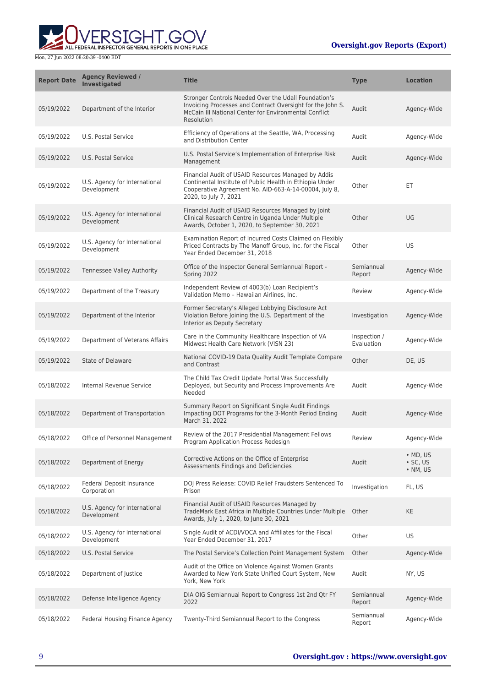

| <b>Report Date</b> | <b>Agency Reviewed /</b><br>Investigated     | <b>Title</b>                                                                                                                                                                                      | <b>Type</b>                | <b>Location</b>                                        |
|--------------------|----------------------------------------------|---------------------------------------------------------------------------------------------------------------------------------------------------------------------------------------------------|----------------------------|--------------------------------------------------------|
| 05/19/2022         | Department of the Interior                   | Stronger Controls Needed Over the Udall Foundation's<br>Invoicing Processes and Contract Oversight for the John S.<br>McCain III National Center for Environmental Conflict<br>Resolution         | Audit                      | Agency-Wide                                            |
| 05/19/2022         | U.S. Postal Service                          | Efficiency of Operations at the Seattle, WA, Processing<br>and Distribution Center                                                                                                                | Audit                      | Agency-Wide                                            |
| 05/19/2022         | U.S. Postal Service                          | U.S. Postal Service's Implementation of Enterprise Risk<br>Management                                                                                                                             | Audit                      | Agency-Wide                                            |
| 05/19/2022         | U.S. Agency for International<br>Development | Financial Audit of USAID Resources Managed by Addis<br>Continental Institute of Public Health in Ethiopia Under<br>Cooperative Agreement No. AID-663-A-14-00004, July 8,<br>2020, to July 7, 2021 | Other                      | ET.                                                    |
| 05/19/2022         | U.S. Agency for International<br>Development | Financial Audit of USAID Resources Managed by Joint<br>Clinical Research Centre in Uganda Under Multiple<br>Awards, October 1, 2020, to September 30, 2021                                        | Other                      | UG                                                     |
| 05/19/2022         | U.S. Agency for International<br>Development | Examination Report of Incurred Costs Claimed on Flexibly<br>Priced Contracts by The Manoff Group, Inc. for the Fiscal<br>Year Ended December 31, 2018                                             | Other                      | US                                                     |
| 05/19/2022         | Tennessee Valley Authority                   | Office of the Inspector General Semiannual Report -<br>Spring 2022                                                                                                                                | Semiannual<br>Report       | Agency-Wide                                            |
| 05/19/2022         | Department of the Treasury                   | Independent Review of 4003(b) Loan Recipient's<br>Validation Memo - Hawaiian Airlines, Inc.                                                                                                       | Review                     | Agency-Wide                                            |
| 05/19/2022         | Department of the Interior                   | Former Secretary's Alleged Lobbying Disclosure Act<br>Violation Before Joining the U.S. Department of the<br>Interior as Deputy Secretary                                                         | Investigation              | Agency-Wide                                            |
| 05/19/2022         | Department of Veterans Affairs               | Care in the Community Healthcare Inspection of VA<br>Midwest Health Care Network (VISN 23)                                                                                                        | Inspection /<br>Evaluation | Agency-Wide                                            |
| 05/19/2022         | State of Delaware                            | National COVID-19 Data Quality Audit Template Compare<br>and Contrast                                                                                                                             | Other                      | DE, US                                                 |
| 05/18/2022         | Internal Revenue Service                     | The Child Tax Credit Update Portal Was Successfully<br>Deployed, but Security and Process Improvements Are<br>Needed                                                                              | Audit                      | Agency-Wide                                            |
| 05/18/2022         | Department of Transportation                 | Summary Report on Significant Single Audit Findings<br>Impacting DOT Programs for the 3-Month Period Ending<br>March 31, 2022                                                                     | Audit                      | Agency-Wide                                            |
| 05/18/2022         | Office of Personnel Management               | Review of the 2017 Presidential Management Fellows<br>Program Application Process Redesign                                                                                                        | Review                     | Agency-Wide                                            |
| 05/18/2022         | Department of Energy                         | Corrective Actions on the Office of Enterprise<br>Assessments Findings and Deficiencies                                                                                                           | Audit                      | $\bullet$ MD, US<br>$\cdot$ SC, US<br>$\bullet$ NM, US |
| 05/18/2022         | Federal Deposit Insurance<br>Corporation     | DOJ Press Release: COVID Relief Fraudsters Sentenced To<br>Prison                                                                                                                                 | Investigation              | FL, US                                                 |
| 05/18/2022         | U.S. Agency for International<br>Development | Financial Audit of USAID Resources Managed by<br>TradeMark East Africa in Multiple Countries Under Multiple<br>Awards, July 1, 2020, to June 30, 2021                                             | Other                      | <b>KE</b>                                              |
| 05/18/2022         | U.S. Agency for International<br>Development | Single Audit of ACDI/VOCA and Affiliates for the Fiscal<br>Year Ended December 31, 2017                                                                                                           | Other                      | US                                                     |
| 05/18/2022         | U.S. Postal Service                          | The Postal Service's Collection Point Management System                                                                                                                                           | Other                      | Agency-Wide                                            |
| 05/18/2022         | Department of Justice                        | Audit of the Office on Violence Against Women Grants<br>Awarded to New York State Unified Court System, New<br>York, New York                                                                     | Audit                      | NY, US                                                 |
| 05/18/2022         | Defense Intelligence Agency                  | DIA OIG Semiannual Report to Congress 1st 2nd Qtr FY<br>2022                                                                                                                                      | Semiannual<br>Report       | Agency-Wide                                            |
| 05/18/2022         | Federal Housing Finance Agency               | Twenty-Third Semiannual Report to the Congress                                                                                                                                                    | Semiannual<br>Report       | Agency-Wide                                            |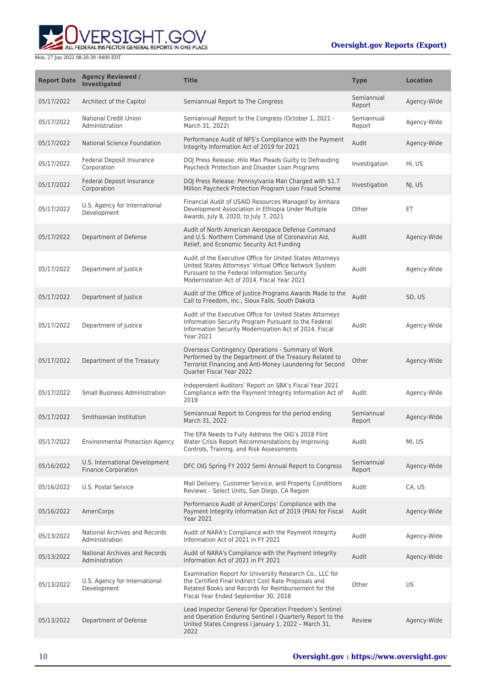

| <b>Report Date</b> | <b>Agency Reviewed /</b><br><b>Investigated</b>              | <b>Title</b>                                                                                                                                                                                                       | <b>Type</b>          | <b>Location</b> |
|--------------------|--------------------------------------------------------------|--------------------------------------------------------------------------------------------------------------------------------------------------------------------------------------------------------------------|----------------------|-----------------|
| 05/17/2022         | Architect of the Capitol                                     | Semiannual Report to The Congress                                                                                                                                                                                  | Semiannual<br>Report | Agency-Wide     |
| 05/17/2022         | <b>National Credit Union</b><br>Administration               | Semiannual Report to the Congress (October 1, 2021 -<br>March 31, 2022)                                                                                                                                            | Semiannual<br>Report | Agency-Wide     |
| 05/17/2022         | National Science Foundation                                  | Performance Audit of NFS's Compliance with the Payment<br>Integrity Information Act of 2019 for 2021                                                                                                               | Audit                | Agency-Wide     |
| 05/17/2022         | Federal Deposit Insurance<br>Corporation                     | DOJ Press Release: Hilo Man Pleads Guilty to Defrauding<br>Paycheck Protection and Disaster Loan Programs                                                                                                          | Investigation        | HI, US          |
| 05/17/2022         | Federal Deposit Insurance<br>Corporation                     | DOJ Press Release: Pennsylvania Man Charged with \$1.7<br>Million Paycheck Protection Program Loan Fraud Scheme                                                                                                    | Investigation        | NJ, US          |
| 05/17/2022         | U.S. Agency for International<br>Development                 | Financial Audit of USAID Resources Managed by Amhara<br>Development Association in Ethiopia Under Multiple<br>Awards, July 8, 2020, to July 7, 2021                                                                | Other                | ET.             |
| 05/17/2022         | Department of Defense                                        | Audit of North American Aerospace Defense Command<br>and U.S. Northern Command Use of Coronavirus Aid,<br>Relief, and Economic Security Act Funding                                                                | Audit                | Agency-Wide     |
| 05/17/2022         | Department of Justice                                        | Audit of the Executive Office for United States Attorneys<br>United States Attorneys' Virtual Office Network System<br>Pursuant to the Federal Information Security<br>Modernization Act of 2014, Fiscal Year 2021 | Audit                | Agency-Wide     |
| 05/17/2022         | Department of Justice                                        | Audit of the Office of Justice Programs Awards Made to the<br>Call to Freedom, Inc., Sioux Falls, South Dakota                                                                                                     | Audit                | SD, US          |
| 05/17/2022         | Department of Justice                                        | Audit of the Executive Office for United States Attorneys<br>Information Security Program Pursuant to the Federal<br>Information Security Modernization Act of 2014, Fiscal<br>Year 2021                           | Audit                | Agency-Wide     |
| 05/17/2022         | Department of the Treasury                                   | Overseas Contingency Operations - Summary of Work<br>Performed by the Department of the Treasury Related to<br>Terrorist Financing and Anti-Money Laundering for Second<br>Quarter Fiscal Year 2022                | Other                | Agency-Wide     |
| 05/17/2022         | <b>Small Business Administration</b>                         | Independent Auditors' Report on SBA's Fiscal Year 2021<br>Compliance with the Payment Integrity Information Act of<br>2019                                                                                         | Audit                | Agency-Wide     |
| 05/17/2022         | Smithsonian Institution                                      | Semiannual Report to Congress for the period ending<br>March 31, 2022                                                                                                                                              | Semiannual<br>Report | Agency-Wide     |
| 05/17/2022         | Environmental Protection Agency                              | The EPA Needs to Fully Address the OIG's 2018 Flint<br>Water Crisis Report Recommendations by Improving<br>Controls, Training, and Risk Assessments                                                                | Audit                | MI, US          |
| 05/16/2022         | U.S. International Development<br><b>Finance Corporation</b> | DFC OIG Spring FY 2022 Semi Annual Report to Congress                                                                                                                                                              | Semiannual<br>Report | Agency-Wide     |
| 05/16/2022         | U.S. Postal Service                                          | Mail Delivery, Customer Service, and Property Conditions<br>Reviews - Select Units, San Diego, CA Region                                                                                                           | Audit                | CA, US          |
| 05/16/2022         | AmeriCorps                                                   | Performance Audit of AmeriCorps' Compliance with the<br>Payment Integrity Information Act of 2019 (PIIA) for Fiscal<br><b>Year 2021</b>                                                                            | Audit                | Agency-Wide     |
| 05/13/2022         | <b>National Archives and Records</b><br>Administration       | Audit of NARA's Compliance with the Payment Integrity<br>Information Act of 2021 in FY 2021                                                                                                                        | Audit                | Agency-Wide     |
| 05/13/2022         | National Archives and Records<br>Administration              | Audit of NARA's Compliance with the Payment Integrity<br>Information Act of 2021 in FY 2021                                                                                                                        | Audit                | Agency-Wide     |
| 05/13/2022         | U.S. Agency for International<br>Development                 | Examination Report for University Research Co., LLC for<br>the Certified Final Indirect Cost Rate Proposals and<br>Related Books and Records for Reimbursement for the<br>Fiscal Year Ended September 30, 2018     | Other                | US              |
| 05/13/2022         | Department of Defense                                        | Lead Inspector General for Operation Freedom's Sentinel<br>and Operation Enduring Sentinel I Quarterly Report to the<br>United States Congress I January 1, 2022 - March 31,<br>2022                               | Review               | Agency-Wide     |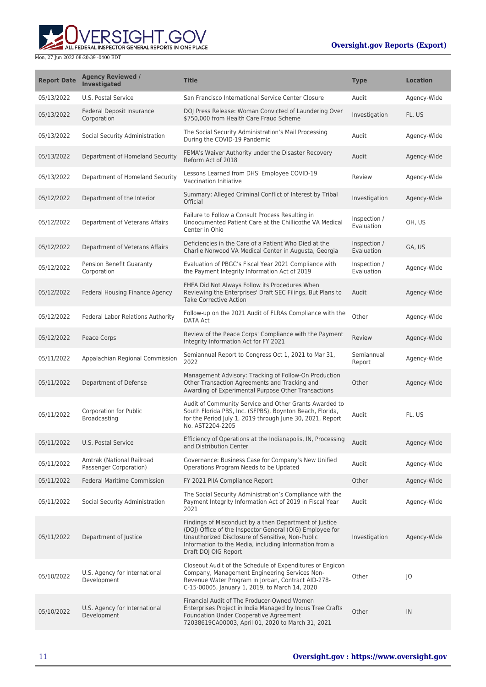**WERSIGHT.GOV** 

| <b>Report Date</b> | <b>Agency Reviewed /</b><br><b>Investigated</b>     | <b>Title</b>                                                                                                                                                                                                                                             | <b>Type</b>                | <b>Location</b> |
|--------------------|-----------------------------------------------------|----------------------------------------------------------------------------------------------------------------------------------------------------------------------------------------------------------------------------------------------------------|----------------------------|-----------------|
| 05/13/2022         | U.S. Postal Service                                 | San Francisco International Service Center Closure                                                                                                                                                                                                       | Audit                      | Agency-Wide     |
| 05/13/2022         | Federal Deposit Insurance<br>Corporation            | DOJ Press Release: Woman Convicted of Laundering Over<br>\$750,000 from Health Care Fraud Scheme                                                                                                                                                         | Investigation              | FL, US          |
| 05/13/2022         | Social Security Administration                      | The Social Security Administration's Mail Processing<br>During the COVID-19 Pandemic                                                                                                                                                                     | Audit                      | Agency-Wide     |
| 05/13/2022         | Department of Homeland Security                     | FEMA's Waiver Authority under the Disaster Recovery<br>Reform Act of 2018                                                                                                                                                                                | Audit                      | Agency-Wide     |
| 05/13/2022         | Department of Homeland Security                     | Lessons Learned from DHS' Employee COVID-19<br>Vaccination Initiative                                                                                                                                                                                    | Review                     | Agency-Wide     |
| 05/12/2022         | Department of the Interior                          | Summary: Alleged Criminal Conflict of Interest by Tribal<br>Official                                                                                                                                                                                     | Investigation              | Agency-Wide     |
| 05/12/2022         | Department of Veterans Affairs                      | Failure to Follow a Consult Process Resulting in<br>Undocumented Patient Care at the Chillicothe VA Medical<br>Center in Ohio                                                                                                                            | Inspection /<br>Evaluation | OH, US          |
| 05/12/2022         | Department of Veterans Affairs                      | Deficiencies in the Care of a Patient Who Died at the<br>Charlie Norwood VA Medical Center in Augusta, Georgia                                                                                                                                           | Inspection /<br>Evaluation | GA, US          |
| 05/12/2022         | Pension Benefit Guaranty<br>Corporation             | Evaluation of PBGC's Fiscal Year 2021 Compliance with<br>the Payment Integrity Information Act of 2019                                                                                                                                                   | Inspection /<br>Evaluation | Agency-Wide     |
| 05/12/2022         | Federal Housing Finance Agency                      | FHFA Did Not Always Follow its Procedures When<br>Reviewing the Enterprises' Draft SEC Filings, But Plans to<br><b>Take Corrective Action</b>                                                                                                            | Audit                      | Agency-Wide     |
| 05/12/2022         | Federal Labor Relations Authority                   | Follow-up on the 2021 Audit of FLRAs Compliance with the<br><b>DATA Act</b>                                                                                                                                                                              | Other                      | Agency-Wide     |
| 05/12/2022         | Peace Corps                                         | Review of the Peace Corps' Compliance with the Payment<br>Integrity Information Act for FY 2021                                                                                                                                                          | Review                     | Agency-Wide     |
| 05/11/2022         | Appalachian Regional Commission                     | Semiannual Report to Congress Oct 1, 2021 to Mar 31,<br>2022                                                                                                                                                                                             | Semiannual<br>Report       | Agency-Wide     |
| 05/11/2022         | Department of Defense                               | Management Advisory: Tracking of Follow-On Production<br>Other Transaction Agreements and Tracking and<br>Awarding of Experimental Purpose Other Transactions                                                                                            | Other                      | Agency-Wide     |
| 05/11/2022         | Corporation for Public<br>Broadcasting              | Audit of Community Service and Other Grants Awarded to<br>South Florida PBS, Inc. (SFPBS), Boynton Beach, Florida,<br>for the Period July 1, 2019 through June 30, 2021, Report<br>No. AST2204-2205                                                      | Audit                      | FL, US          |
| 05/11/2022         | U.S. Postal Service                                 | Efficiency of Operations at the Indianapolis, IN, Processing<br>and Distribution Center                                                                                                                                                                  | Audit                      | Agency-Wide     |
| 05/11/2022         | Amtrak (National Railroad<br>Passenger Corporation) | Governance: Business Case for Company's New Unified<br>Operations Program Needs to be Updated                                                                                                                                                            | Audit                      | Agency-Wide     |
| 05/11/2022         | <b>Federal Maritime Commission</b>                  | FY 2021 PIIA Compliance Report                                                                                                                                                                                                                           | Other                      | Agency-Wide     |
| 05/11/2022         | Social Security Administration                      | The Social Security Administration's Compliance with the<br>Payment Integrity Information Act of 2019 in Fiscal Year<br>2021                                                                                                                             | Audit                      | Agency-Wide     |
| 05/11/2022         | Department of Justice                               | Findings of Misconduct by a then Department of Justice<br>(DOJ) Office of the Inspector General (OIG) Employee for<br>Unauthorized Disclosure of Sensitive, Non-Public<br>Information to the Media, including Information from a<br>Draft DOJ OIG Report | Investigation              | Agency-Wide     |
| 05/10/2022         | U.S. Agency for International<br>Development        | Closeout Audit of the Schedule of Expenditures of Engicon<br>Company, Management Engineering Services Non-<br>Revenue Water Program in Jordan, Contract AID-278-<br>C-15-00005, January 1, 2019, to March 14, 2020                                       | Other                      | $ 0\rangle$     |
| 05/10/2022         | U.S. Agency for International<br>Development        | Financial Audit of The Producer-Owned Women<br>Enterprises Project in India Managed by Indus Tree Crafts<br><b>Foundation Under Cooperative Agreement</b><br>72038619CA00003, April 01, 2020 to March 31, 2021                                           | Other                      | IN              |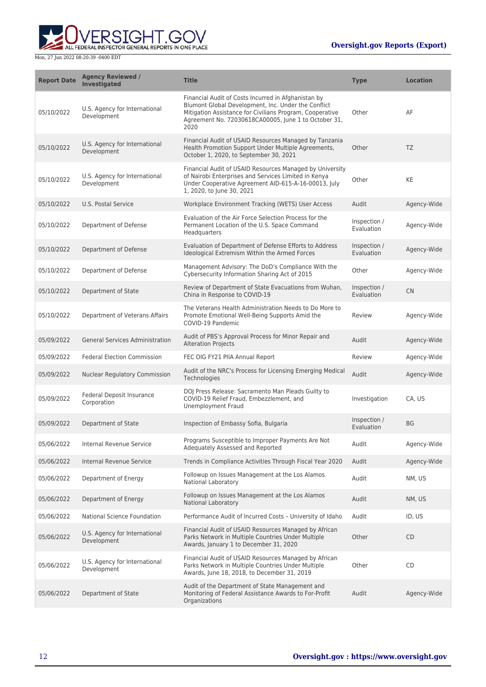

| <b>Report Date</b> | <b>Agency Reviewed /</b><br><b>Investigated</b> | <b>Title</b>                                                                                                                                                                                                                           | <b>Type</b>                | <b>Location</b> |
|--------------------|-------------------------------------------------|----------------------------------------------------------------------------------------------------------------------------------------------------------------------------------------------------------------------------------------|----------------------------|-----------------|
| 05/10/2022         | U.S. Agency for International<br>Development    | Financial Audit of Costs Incurred in Afghanistan by<br>Blumont Global Development, Inc. Under the Conflict<br>Mitigation Assistance for Civilians Program, Cooperative<br>Agreement No. 72030618CA00005, June 1 to October 31,<br>2020 | Other                      | AF              |
| 05/10/2022         | U.S. Agency for International<br>Development    | Financial Audit of USAID Resources Managed by Tanzania<br>Health Promotion Support Under Multiple Agreements,<br>October 1, 2020, to September 30, 2021                                                                                | Other                      | TZ              |
| 05/10/2022         | U.S. Agency for International<br>Development    | Financial Audit of USAID Resources Managed by University<br>of Nairobi Enterprises and Services Limited in Kenya<br>Under Cooperative Agreement AID-615-A-16-00013, July<br>1, 2020, to June 30, 2021                                  | Other                      | KE              |
| 05/10/2022         | U.S. Postal Service                             | Workplace Environment Tracking (WETS) User Access                                                                                                                                                                                      | Audit                      | Agency-Wide     |
| 05/10/2022         | Department of Defense                           | Evaluation of the Air Force Selection Process for the<br>Permanent Location of the U.S. Space Command<br>Headquarters                                                                                                                  | Inspection /<br>Evaluation | Agency-Wide     |
| 05/10/2022         | Department of Defense                           | Evaluation of Department of Defense Efforts to Address<br>Ideological Extremism Within the Armed Forces                                                                                                                                | Inspection /<br>Evaluation | Agency-Wide     |
| 05/10/2022         | Department of Defense                           | Management Advisory: The DoD's Compliance With the<br>Cybersecurity Information Sharing Act of 2015                                                                                                                                    | Other                      | Agency-Wide     |
| 05/10/2022         | Department of State                             | Review of Department of State Evacuations from Wuhan,<br>China in Response to COVID-19                                                                                                                                                 | Inspection /<br>Evaluation | <b>CN</b>       |
| 05/10/2022         | Department of Veterans Affairs                  | The Veterans Health Administration Needs to Do More to<br>Promote Emotional Well-Being Supports Amid the<br>COVID-19 Pandemic                                                                                                          | Review                     | Agency-Wide     |
| 05/09/2022         | <b>General Services Administration</b>          | Audit of PBS's Approval Process for Minor Repair and<br><b>Alteration Projects</b>                                                                                                                                                     | Audit                      | Agency-Wide     |
| 05/09/2022         | <b>Federal Election Commission</b>              | FEC OIG FY21 PIIA Annual Report                                                                                                                                                                                                        | Review                     | Agency-Wide     |
| 05/09/2022         | <b>Nuclear Regulatory Commission</b>            | Audit of the NRC's Process for Licensing Emerging Medical<br>Technologies                                                                                                                                                              | Audit                      | Agency-Wide     |
| 05/09/2022         | Federal Deposit Insurance<br>Corporation        | DOJ Press Release: Sacramento Man Pleads Guilty to<br>COVID-19 Relief Fraud, Embezzlement, and<br><b>Unemployment Fraud</b>                                                                                                            | Investigation              | CA, US          |
| 05/09/2022         | Department of State                             | Inspection of Embassy Sofia, Bulgaria                                                                                                                                                                                                  | Inspection /<br>Evaluation | <b>BG</b>       |
| 05/06/2022         | Internal Revenue Service                        | Programs Susceptible to Improper Payments Are Not<br>Adequately Assessed and Reported                                                                                                                                                  | Audit                      | Agency-Wide     |
| 05/06/2022         | <b>Internal Revenue Service</b>                 | Trends in Compliance Activities Through Fiscal Year 2020                                                                                                                                                                               | Audit                      | Agency-Wide     |
| 05/06/2022         | Department of Energy                            | Followup on Issues Management at the Los Alamos<br>National Laboratory                                                                                                                                                                 | Audit                      | NM. US          |
| 05/06/2022         | Department of Energy                            | Followup on Issues Management at the Los Alamos<br>National Laboratory                                                                                                                                                                 | Audit                      | NM, US          |
| 05/06/2022         | National Science Foundation                     | Performance Audit of Incurred Costs - University of Idaho                                                                                                                                                                              | Audit                      | ID, US          |
| 05/06/2022         | U.S. Agency for International<br>Development    | Financial Audit of USAID Resources Managed by African<br>Parks Network in Multiple Countries Under Multiple<br>Awards, January 1 to December 31, 2020                                                                                  | Other                      | CD              |
| 05/06/2022         | U.S. Agency for International<br>Development    | Financial Audit of USAID Resources Managed by African<br>Parks Network in Multiple Countries Under Multiple<br>Awards, June 18, 2018, to December 31, 2019                                                                             | Other                      | CD              |
| 05/06/2022         | Department of State                             | Audit of the Department of State Management and<br>Monitoring of Federal Assistance Awards to For-Profit<br>Organizations                                                                                                              | Audit                      | Agency-Wide     |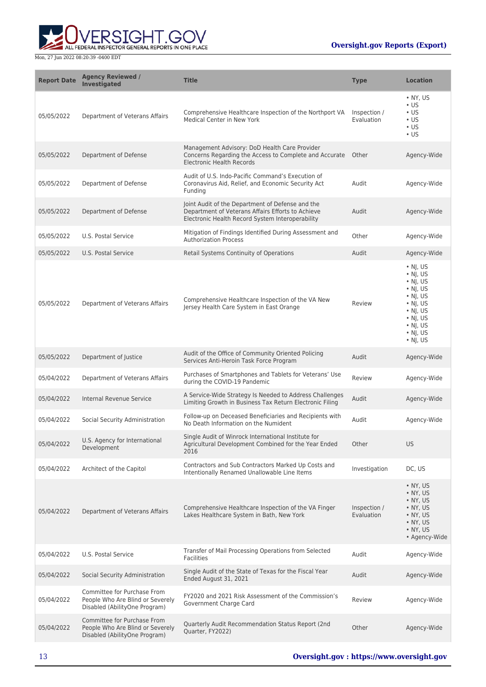



| <b>Report Date</b> | <b>Agency Reviewed /</b><br><b>Investigated</b>                                                  | <b>Title</b>                                                                                                                                              | <b>Type</b>                | <b>Location</b>                                                                                                                                                                                    |
|--------------------|--------------------------------------------------------------------------------------------------|-----------------------------------------------------------------------------------------------------------------------------------------------------------|----------------------------|----------------------------------------------------------------------------------------------------------------------------------------------------------------------------------------------------|
| 05/05/2022         | Department of Veterans Affairs                                                                   | Comprehensive Healthcare Inspection of the Northport VA<br>Medical Center in New York                                                                     | Inspection /<br>Evaluation | $\bullet$ NY, US<br>$\cdot$ US<br>$\cdot$ US<br>$\cdot$ US<br>$\cdot$ US<br>$\cdot$ US                                                                                                             |
| 05/05/2022         | Department of Defense                                                                            | Management Advisory: DoD Health Care Provider<br>Concerns Regarding the Access to Complete and Accurate<br><b>Electronic Health Records</b>               | Other                      | Agency-Wide                                                                                                                                                                                        |
| 05/05/2022         | Department of Defense                                                                            | Audit of U.S. Indo-Pacific Command's Execution of<br>Coronavirus Aid, Relief, and Economic Security Act<br>Funding                                        | Audit                      | Agency-Wide                                                                                                                                                                                        |
| 05/05/2022         | Department of Defense                                                                            | Joint Audit of the Department of Defense and the<br>Department of Veterans Affairs Efforts to Achieve<br>Electronic Health Record System Interoperability | Audit                      | Agency-Wide                                                                                                                                                                                        |
| 05/05/2022         | U.S. Postal Service                                                                              | Mitigation of Findings Identified During Assessment and<br><b>Authorization Process</b>                                                                   | Other                      | Agency-Wide                                                                                                                                                                                        |
| 05/05/2022         | U.S. Postal Service                                                                              | Retail Systems Continuity of Operations                                                                                                                   | Audit                      | Agency-Wide                                                                                                                                                                                        |
| 05/05/2022         | Department of Veterans Affairs                                                                   | Comprehensive Healthcare Inspection of the VA New<br>Jersey Health Care System in East Orange                                                             | Review                     | $\cdot$ NJ, US<br>$\cdot$ NJ, US<br>$\cdot$ NJ, US<br>$\cdot$ NJ, US<br>$\cdot$ NJ, US<br>$\cdot$ NJ, US<br>$\cdot$ NJ, US<br>$\cdot$ NJ, US<br>$\cdot$ NJ, US<br>$\cdot$ NJ, US<br>$\cdot$ NJ, US |
| 05/05/2022         | Department of Justice                                                                            | Audit of the Office of Community Oriented Policing<br>Services Anti-Heroin Task Force Program                                                             | Audit                      | Agency-Wide                                                                                                                                                                                        |
| 05/04/2022         | Department of Veterans Affairs                                                                   | Purchases of Smartphones and Tablets for Veterans' Use<br>during the COVID-19 Pandemic                                                                    | Review                     | Agency-Wide                                                                                                                                                                                        |
| 05/04/2022         | Internal Revenue Service                                                                         | A Service-Wide Strategy Is Needed to Address Challenges<br>Limiting Growth in Business Tax Return Electronic Filing                                       | Audit                      | Agency-Wide                                                                                                                                                                                        |
| 05/04/2022         | Social Security Administration                                                                   | Follow-up on Deceased Beneficiaries and Recipients with<br>No Death Information on the Numident                                                           | Audit                      | Agency-Wide                                                                                                                                                                                        |
| 05/04/2022         | U.S. Agency for International<br>Development                                                     | Single Audit of Winrock International Institute for<br>Agricultural Development Combined for the Year Ended<br>2016                                       | Other                      | <b>US</b>                                                                                                                                                                                          |
| 05/04/2022         | Architect of the Capitol                                                                         | Contractors and Sub Contractors Marked Up Costs and<br>Intentionally Renamed Unallowable Line Items                                                       | Investigation              | DC, US                                                                                                                                                                                             |
| 05/04/2022         | Department of Veterans Affairs                                                                   | Comprehensive Healthcare Inspection of the VA Finger<br>Lakes Healthcare System in Bath, New York                                                         | Inspection /<br>Evaluation | $\bullet$ NY, US<br>• NY, US<br>• NY, US<br>• NY, US<br>$\bullet$ NY, US<br>$\bullet$ NY, US<br>$\bullet$ NY, US<br>• Agency-Wide                                                                  |
| 05/04/2022         | U.S. Postal Service                                                                              | Transfer of Mail Processing Operations from Selected<br><b>Facilities</b>                                                                                 | Audit                      | Agency-Wide                                                                                                                                                                                        |
| 05/04/2022         | Social Security Administration                                                                   | Single Audit of the State of Texas for the Fiscal Year<br>Ended August 31, 2021                                                                           | Audit                      | Agency-Wide                                                                                                                                                                                        |
| 05/04/2022         | Committee for Purchase From<br>People Who Are Blind or Severely<br>Disabled (AbilityOne Program) | FY2020 and 2021 Risk Assessment of the Commission's<br>Government Charge Card                                                                             | Review                     | Agency-Wide                                                                                                                                                                                        |
| 05/04/2022         | Committee for Purchase From<br>People Who Are Blind or Severely<br>Disabled (AbilityOne Program) | Quarterly Audit Recommendation Status Report (2nd<br>Quarter, FY2022)                                                                                     | Other                      | Agency-Wide                                                                                                                                                                                        |